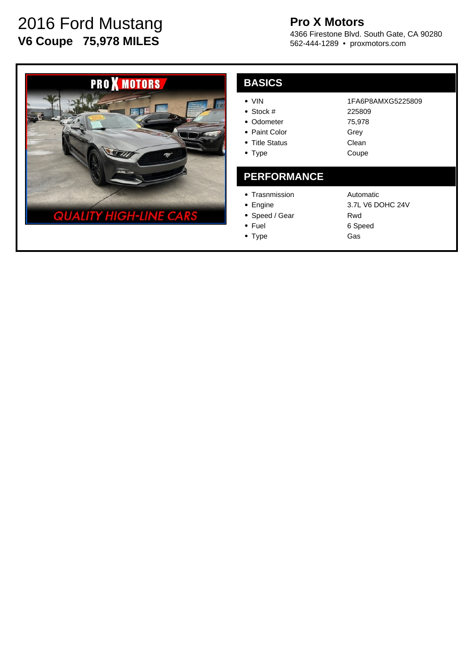# 2016 Ford Mustang **V6 Coupe 75,978 MILES**

## **Pro X Motors**

4366 Firestone Blvd. South Gate, CA 90280 562-444-1289 • proxmotors.com



| <b>BASIC</b> |  |
|--------------|--|
|              |  |

| VIN |
|-----|
|     |

- Stock #
- Odometer
- Paint Color
- Title Status
- Type

#### 225809 75,978 Grey Clean Coupe

#### **PERFORMANCE**

- Trasnmission
- Engine
- Speed / Gear • Fuel
- Type

Automatic 3.7L V6 DOHC 24V Rwd 6 Speed Gas

1FA6P8AMXG5225809